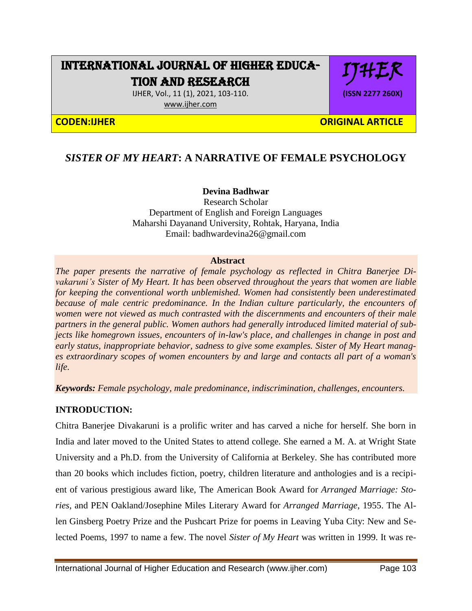# INTERNATIONAL JOURNAL OF HIGHER EDUCA-TION AND RESEARCH

IJHER, Vol., 11 (1), 2021, 103-110. [www.ijher.com](http://www.ijher.com/)



IJHER

**(ISSN 2277 260X)**

## *SISTER OF MY HEART***: A NARRATIVE OF FEMALE PSYCHOLOGY**

## **Devina Badhwar**

Research Scholar Department of English and Foreign Languages Maharshi Dayanand University, Rohtak, Haryana, India Email: badhwardevina26@gmail.com

#### **Abstract**

*The paper presents the narrative of female psychology as reflected in Chitra Banerjee Divakaruni's Sister of My Heart. It has been observed throughout the years that women are liable for keeping the conventional worth unblemished. Women had consistently been underestimated*  because of male centric predominance. In the Indian culture particularly, the encounters of *women were not viewed as much contrasted with the discernments and encounters of their male partners in the general public. Women authors had generally introduced limited material of subjects like homegrown issues, encounters of in-law's place, and challenges in change in post and early status, inappropriate behavior, sadness to give some examples. Sister of My Heart manages extraordinary scopes of women encounters by and large and contacts all part of a woman's life.*

*Keywords: Female psychology, male predominance, indiscrimination, challenges, encounters.*

## **INTRODUCTION:**

Chitra Banerjee Divakaruni is a prolific writer and has carved a niche for herself. She born in India and later moved to the United States to attend college. She earned a M. A. at Wright State University and a Ph.D. from the University of California at Berkeley. She has contributed more than 20 books which includes fiction, poetry, children literature and anthologies and is a recipient of various prestigious award like, The American Book Award for *Arranged Marriage: Stories*, and PEN Oakland/Josephine Miles Literary Award for *Arranged Marriage*, 1955. The Allen Ginsberg Poetry Prize and the Pushcart Prize for poems in Leaving Yuba City: New and Selected Poems, 1997 to name a few. The novel *Sister of My Heart* was written in 1999. It was re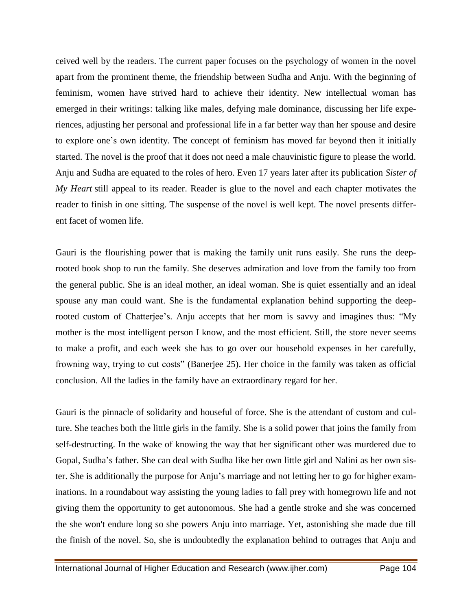ceived well by the readers. The current paper focuses on the psychology of women in the novel apart from the prominent theme, the friendship between Sudha and Anju. With the beginning of feminism, women have strived hard to achieve their identity. New intellectual woman has emerged in their writings: talking like males, defying male dominance, discussing her life experiences, adjusting her personal and professional life in a far better way than her spouse and desire to explore one"s own identity. The concept of feminism has moved far beyond then it initially started. The novel is the proof that it does not need a male chauvinistic figure to please the world. Anju and Sudha are equated to the roles of hero. Even 17 years later after its publication *Sister of My Heart* still appeal to its reader. Reader is glue to the novel and each chapter motivates the reader to finish in one sitting. The suspense of the novel is well kept. The novel presents different facet of women life.

Gauri is the flourishing power that is making the family unit runs easily. She runs the deeprooted book shop to run the family. She deserves admiration and love from the family too from the general public. She is an ideal mother, an ideal woman. She is quiet essentially and an ideal spouse any man could want. She is the fundamental explanation behind supporting the deeprooted custom of Chatterjee's. Anju accepts that her mom is savvy and imagines thus: "My mother is the most intelligent person I know, and the most efficient. Still, the store never seems to make a profit, and each week she has to go over our household expenses in her carefully, frowning way, trying to cut costs" (Banerjee 25). Her choice in the family was taken as official conclusion. All the ladies in the family have an extraordinary regard for her.

Gauri is the pinnacle of solidarity and houseful of force. She is the attendant of custom and culture. She teaches both the little girls in the family. She is a solid power that joins the family from self-destructing. In the wake of knowing the way that her significant other was murdered due to Gopal, Sudha"s father. She can deal with Sudha like her own little girl and Nalini as her own sister. She is additionally the purpose for Anju"s marriage and not letting her to go for higher examinations. In a roundabout way assisting the young ladies to fall prey with homegrown life and not giving them the opportunity to get autonomous. She had a gentle stroke and she was concerned the she won't endure long so she powers Anju into marriage. Yet, astonishing she made due till the finish of the novel. So, she is undoubtedly the explanation behind to outrages that Anju and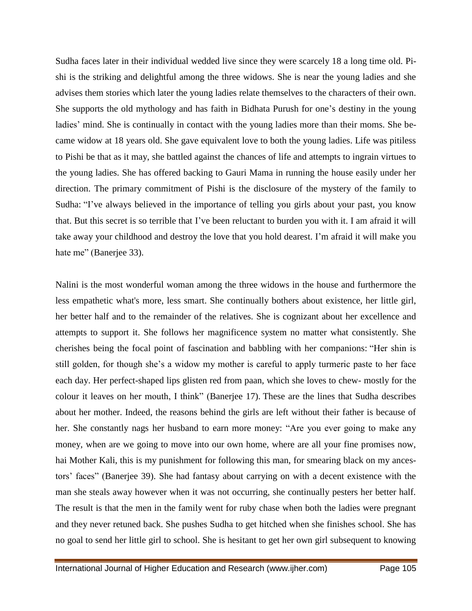Sudha faces later in their individual wedded live since they were scarcely 18 a long time old. Pishi is the striking and delightful among the three widows. She is near the young ladies and she advises them stories which later the young ladies relate themselves to the characters of their own. She supports the old mythology and has faith in Bidhata Purush for one"s destiny in the young ladies' mind. She is continually in contact with the young ladies more than their moms. She became widow at 18 years old. She gave equivalent love to both the young ladies. Life was pitiless to Pishi be that as it may, she battled against the chances of life and attempts to ingrain virtues to the young ladies. She has offered backing to Gauri Mama in running the house easily under her direction. The primary commitment of Pishi is the disclosure of the mystery of the family to Sudha: "I've always believed in the importance of telling you girls about your past, you know that. But this secret is so terrible that I"ve been reluctant to burden you with it. I am afraid it will take away your childhood and destroy the love that you hold dearest. I"m afraid it will make you hate me" (Banerjee 33).

Nalini is the most wonderful woman among the three widows in the house and furthermore the less empathetic what's more, less smart. She continually bothers about existence, her little girl, her better half and to the remainder of the relatives. She is cognizant about her excellence and attempts to support it. She follows her magnificence system no matter what consistently. She cherishes being the focal point of fascination and babbling with her companions: "Her shin is still golden, for though she's a widow my mother is careful to apply turmeric paste to her face each day. Her perfect-shaped lips glisten red from paan, which she loves to chew- mostly for the colour it leaves on her mouth, I think" (Banerjee 17). These are the lines that Sudha describes about her mother. Indeed, the reasons behind the girls are left without their father is because of her. She constantly nags her husband to earn more money: "Are you ever going to make any money, when are we going to move into our own home, where are all your fine promises now, hai Mother Kali, this is my punishment for following this man, for smearing black on my ancestors" faces" (Banerjee 39). She had fantasy about carrying on with a decent existence with the man she steals away however when it was not occurring, she continually pesters her better half. The result is that the men in the family went for ruby chase when both the ladies were pregnant and they never retuned back. She pushes Sudha to get hitched when she finishes school. She has no goal to send her little girl to school. She is hesitant to get her own girl subsequent to knowing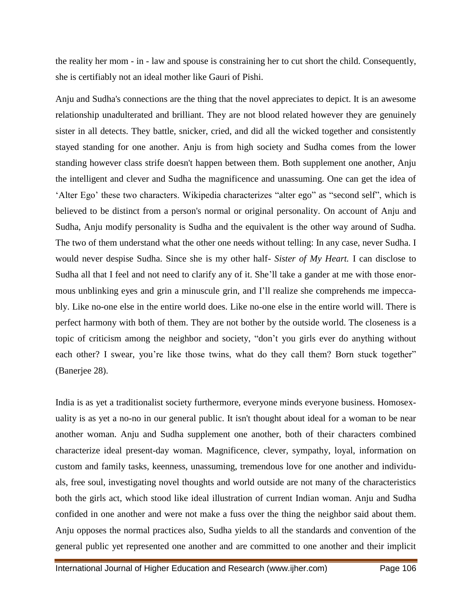the reality her mom - in - law and spouse is constraining her to cut short the child. Consequently, she is certifiably not an ideal mother like Gauri of Pishi.

Anju and Sudha's connections are the thing that the novel appreciates to depict. It is an awesome relationship unadulterated and brilliant. They are not blood related however they are genuinely sister in all detects. They battle, snicker, cried, and did all the wicked together and consistently stayed standing for one another. Anju is from high society and Sudha comes from the lower standing however class strife doesn't happen between them. Both supplement one another, Anju the intelligent and clever and Sudha the magnificence and unassuming. One can get the idea of "Alter Ego" these two characters. Wikipedia characterizes "alter ego" as "second self", which is believed to be distinct from a person's normal or original personality. On account of Anju and Sudha, Anju modify personality is Sudha and the equivalent is the other way around of Sudha. The two of them understand what the other one needs without telling: In any case, never Sudha. I would never despise Sudha. Since she is my other half- *Sister of My Heart.* I can disclose to Sudha all that I feel and not need to clarify any of it. She"ll take a gander at me with those enormous unblinking eyes and grin a minuscule grin, and I"ll realize she comprehends me impeccably. Like no-one else in the entire world does. Like no-one else in the entire world will. There is perfect harmony with both of them. They are not bother by the outside world. The closeness is a topic of criticism among the neighbor and society, "don"t you girls ever do anything without each other? I swear, you're like those twins, what do they call them? Born stuck together" (Banerjee 28).

India is as yet a traditionalist society furthermore, everyone minds everyone business. Homosexuality is as yet a no-no in our general public. It isn't thought about ideal for a woman to be near another woman. Anju and Sudha supplement one another, both of their characters combined characterize ideal present-day woman. Magnificence, clever, sympathy, loyal, information on custom and family tasks, keenness, unassuming, tremendous love for one another and individuals, free soul, investigating novel thoughts and world outside are not many of the characteristics both the girls act, which stood like ideal illustration of current Indian woman. Anju and Sudha confided in one another and were not make a fuss over the thing the neighbor said about them. Anju opposes the normal practices also, Sudha yields to all the standards and convention of the general public yet represented one another and are committed to one another and their implicit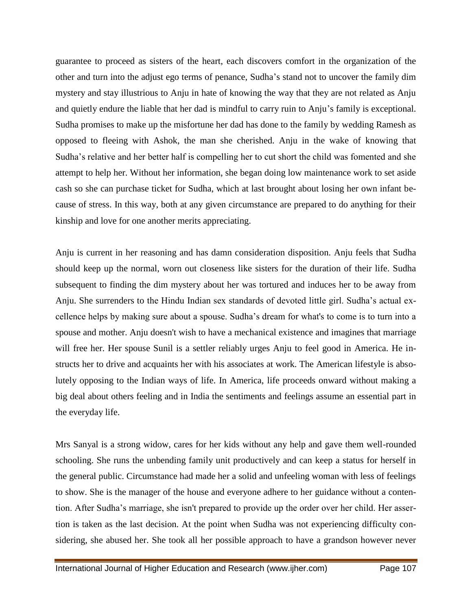guarantee to proceed as sisters of the heart, each discovers comfort in the organization of the other and turn into the adjust ego terms of penance, Sudha"s stand not to uncover the family dim mystery and stay illustrious to Anju in hate of knowing the way that they are not related as Anju and quietly endure the liable that her dad is mindful to carry ruin to Anju"s family is exceptional. Sudha promises to make up the misfortune her dad has done to the family by wedding Ramesh as opposed to fleeing with Ashok, the man she cherished. Anju in the wake of knowing that Sudha"s relative and her better half is compelling her to cut short the child was fomented and she attempt to help her. Without her information, she began doing low maintenance work to set aside cash so she can purchase ticket for Sudha, which at last brought about losing her own infant because of stress. In this way, both at any given circumstance are prepared to do anything for their kinship and love for one another merits appreciating.

Anju is current in her reasoning and has damn consideration disposition. Anju feels that Sudha should keep up the normal, worn out closeness like sisters for the duration of their life. Sudha subsequent to finding the dim mystery about her was tortured and induces her to be away from Anju. She surrenders to the Hindu Indian sex standards of devoted little girl. Sudha"s actual excellence helps by making sure about a spouse. Sudha"s dream for what's to come is to turn into a spouse and mother. Anju doesn't wish to have a mechanical existence and imagines that marriage will free her. Her spouse Sunil is a settler reliably urges Anju to feel good in America. He instructs her to drive and acquaints her with his associates at work. The American lifestyle is absolutely opposing to the Indian ways of life. In America, life proceeds onward without making a big deal about others feeling and in India the sentiments and feelings assume an essential part in the everyday life.

Mrs Sanyal is a strong widow, cares for her kids without any help and gave them well-rounded schooling. She runs the unbending family unit productively and can keep a status for herself in the general public. Circumstance had made her a solid and unfeeling woman with less of feelings to show. She is the manager of the house and everyone adhere to her guidance without a contention. After Sudha"s marriage, she isn't prepared to provide up the order over her child. Her assertion is taken as the last decision. At the point when Sudha was not experiencing difficulty considering, she abused her. She took all her possible approach to have a grandson however never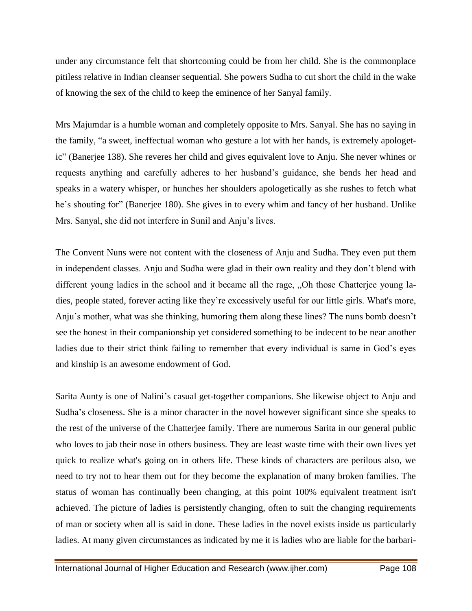under any circumstance felt that shortcoming could be from her child. She is the commonplace pitiless relative in Indian cleanser sequential. She powers Sudha to cut short the child in the wake of knowing the sex of the child to keep the eminence of her Sanyal family.

Mrs Majumdar is a humble woman and completely opposite to Mrs. Sanyal. She has no saying in the family, "a sweet, ineffectual woman who gesture a lot with her hands, is extremely apologetic" (Banerjee 138). She reveres her child and gives equivalent love to Anju. She never whines or requests anything and carefully adheres to her husband"s guidance, she bends her head and speaks in a watery whisper, or hunches her shoulders apologetically as she rushes to fetch what he's shouting for" (Banerjee 180). She gives in to every whim and fancy of her husband. Unlike Mrs. Sanyal, she did not interfere in Sunil and Anju"s lives.

The Convent Nuns were not content with the closeness of Anju and Sudha. They even put them in independent classes. Anju and Sudha were glad in their own reality and they don"t blend with different young ladies in the school and it became all the rage, "Oh those Chatterjee young ladies, people stated, forever acting like they're excessively useful for our little girls. What's more, Anju"s mother, what was she thinking, humoring them along these lines? The nuns bomb doesn"t see the honest in their companionship yet considered something to be indecent to be near another ladies due to their strict think failing to remember that every individual is same in God's eyes and kinship is an awesome endowment of God.

Sarita Aunty is one of Nalini's casual get-together companions. She likewise object to Anju and Sudha"s closeness. She is a minor character in the novel however significant since she speaks to the rest of the universe of the Chatterjee family. There are numerous Sarita in our general public who loves to jab their nose in others business. They are least waste time with their own lives yet quick to realize what's going on in others life. These kinds of characters are perilous also, we need to try not to hear them out for they become the explanation of many broken families. The status of woman has continually been changing, at this point 100% equivalent treatment isn't achieved. The picture of ladies is persistently changing, often to suit the changing requirements of man or society when all is said in done. These ladies in the novel exists inside us particularly ladies. At many given circumstances as indicated by me it is ladies who are liable for the barbari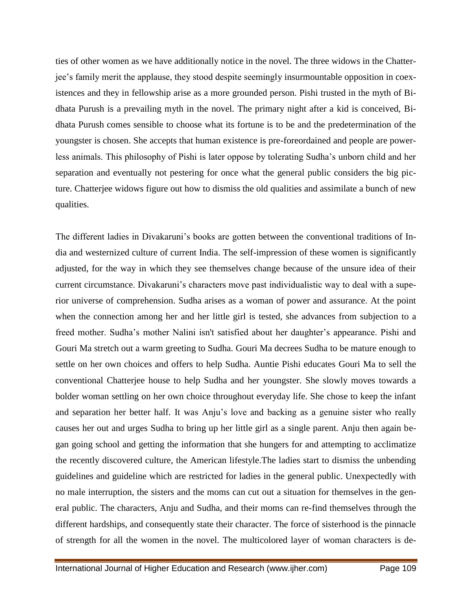ties of other women as we have additionally notice in the novel. The three widows in the Chatterjee"s family merit the applause, they stood despite seemingly insurmountable opposition in coexistences and they in fellowship arise as a more grounded person. Pishi trusted in the myth of Bidhata Purush is a prevailing myth in the novel. The primary night after a kid is conceived, Bidhata Purush comes sensible to choose what its fortune is to be and the predetermination of the youngster is chosen. She accepts that human existence is pre-foreordained and people are powerless animals. This philosophy of Pishi is later oppose by tolerating Sudha"s unborn child and her separation and eventually not pestering for once what the general public considers the big picture. Chatterjee widows figure out how to dismiss the old qualities and assimilate a bunch of new qualities.

The different ladies in Divakaruni's books are gotten between the conventional traditions of India and westernized culture of current India. The self-impression of these women is significantly adjusted, for the way in which they see themselves change because of the unsure idea of their current circumstance. Divakaruni's characters move past individualistic way to deal with a superior universe of comprehension. Sudha arises as a woman of power and assurance. At the point when the connection among her and her little girl is tested, she advances from subjection to a freed mother. Sudha's mother Nalini isn't satisfied about her daughter's appearance. Pishi and Gouri Ma stretch out a warm greeting to Sudha. Gouri Ma decrees Sudha to be mature enough to settle on her own choices and offers to help Sudha. Auntie Pishi educates Gouri Ma to sell the conventional Chatterjee house to help Sudha and her youngster. She slowly moves towards a bolder woman settling on her own choice throughout everyday life. She chose to keep the infant and separation her better half. It was Anju"s love and backing as a genuine sister who really causes her out and urges Sudha to bring up her little girl as a single parent. Anju then again began going school and getting the information that she hungers for and attempting to acclimatize the recently discovered culture, the American lifestyle.The ladies start to dismiss the unbending guidelines and guideline which are restricted for ladies in the general public. Unexpectedly with no male interruption, the sisters and the moms can cut out a situation for themselves in the general public. The characters, Anju and Sudha, and their moms can re-find themselves through the different hardships, and consequently state their character. The force of sisterhood is the pinnacle of strength for all the women in the novel. The multicolored layer of woman characters is de-